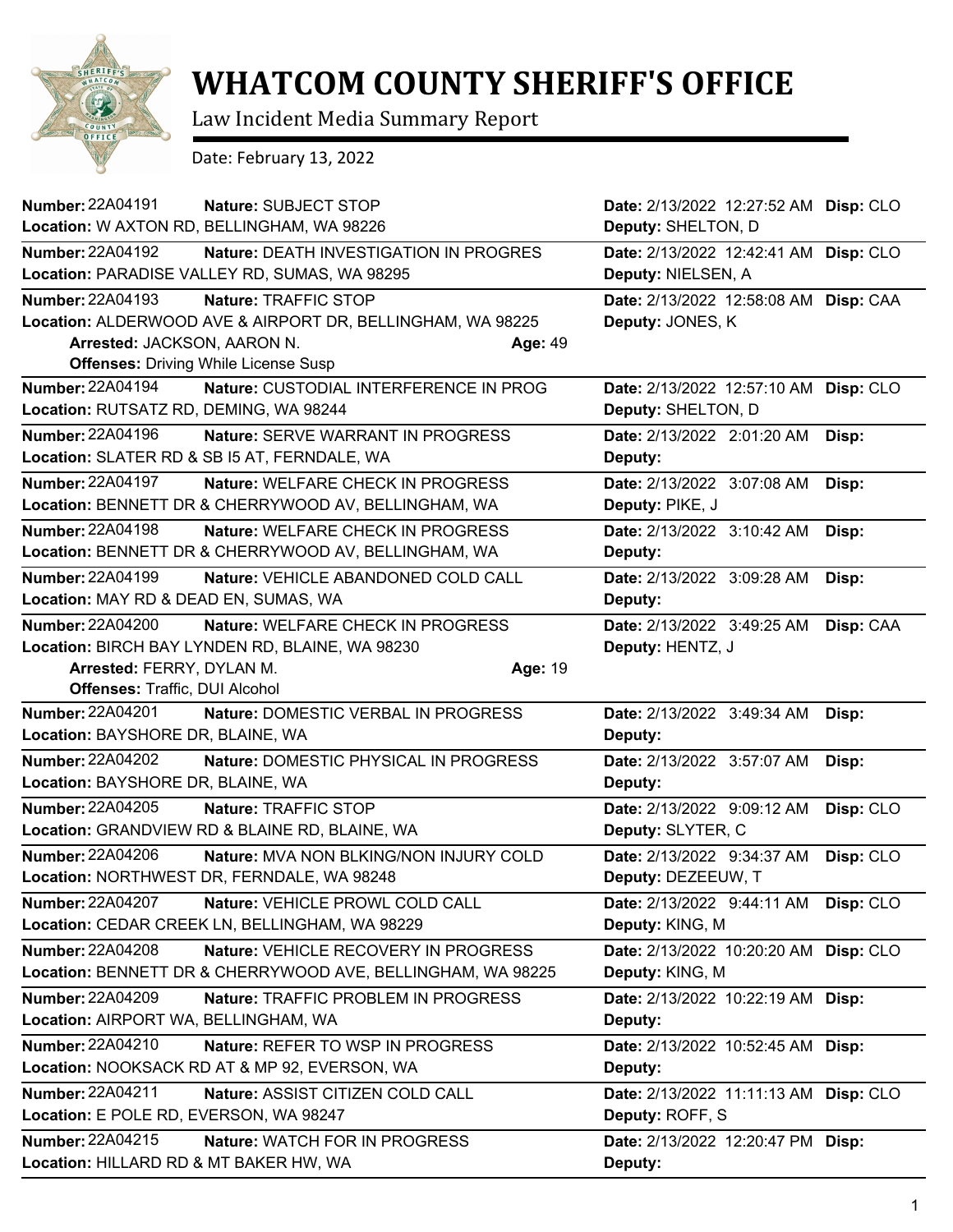

## **WHATCOM COUNTY SHERIFF'S OFFICE**

Law Incident Media Summary Report

Date: February 13, 2022

| Number: 22A04191                       | Nature: SUBJECT STOP                                        | Date: 2/13/2022 12:27:52 AM Disp: CLO |           |
|----------------------------------------|-------------------------------------------------------------|---------------------------------------|-----------|
|                                        | Location: W AXTON RD, BELLINGHAM, WA 98226                  | Deputy: SHELTON, D                    |           |
| <b>Number: 22A04192</b>                | <b>Nature: DEATH INVESTIGATION IN PROGRES</b>               | Date: 2/13/2022 12:42:41 AM Disp: CLO |           |
|                                        | Location: PARADISE VALLEY RD, SUMAS, WA 98295               | Deputy: NIELSEN, A                    |           |
| <b>Number: 22A04193</b>                | Nature: TRAFFIC STOP                                        | Date: 2/13/2022 12:58:08 AM Disp: CAA |           |
|                                        | Location: ALDERWOOD AVE & AIRPORT DR, BELLINGHAM, WA 98225  | Deputy: JONES, K                      |           |
| Arrested: JACKSON, AARON N.            | Age: 49                                                     |                                       |           |
|                                        | <b>Offenses: Driving While License Susp</b>                 |                                       |           |
| Number: 22A04194                       | Nature: CUSTODIAL INTERFERENCE IN PROG                      | Date: 2/13/2022 12:57:10 AM Disp: CLO |           |
| Location: RUTSATZ RD, DEMING, WA 98244 |                                                             | Deputy: SHELTON, D                    |           |
| Number: 22A04196                       | Nature: SERVE WARRANT IN PROGRESS                           | Date: 2/13/2022 2:01:20 AM            | Disp:     |
|                                        | Location: SLATER RD & SB I5 AT, FERNDALE, WA                | Deputy:                               |           |
| <b>Number: 22A04197</b>                | Nature: WELFARE CHECK IN PROGRESS                           | Date: 2/13/2022 3:07:08 AM            | Disp:     |
|                                        | Location: BENNETT DR & CHERRYWOOD AV, BELLINGHAM, WA        | Deputy: PIKE, J                       |           |
| <b>Number: 22A04198</b>                | Nature: WELFARE CHECK IN PROGRESS                           | Date: 2/13/2022 3:10:42 AM            | Disp:     |
|                                        | Location: BENNETT DR & CHERRYWOOD AV, BELLINGHAM, WA        | Deputy:                               |           |
| <b>Number: 22A04199</b>                | <b>Nature: VEHICLE ABANDONED COLD CALL</b>                  | Date: 2/13/2022 3:09:28 AM            | Disp:     |
| Location: MAY RD & DEAD EN, SUMAS, WA  |                                                             | Deputy:                               |           |
| <b>Number: 22A04200</b>                | <b>Nature: WELFARE CHECK IN PROGRESS</b>                    | Date: 2/13/2022 3:49:25 AM            | Disp: CAA |
|                                        | Location: BIRCH BAY LYNDEN RD, BLAINE, WA 98230             | Deputy: HENTZ, J                      |           |
| Arrested: FERRY, DYLAN M.              | Age: 19                                                     |                                       |           |
| Offenses: Traffic, DUI Alcohol         |                                                             |                                       |           |
| <b>Number: 22A04201</b>                | Nature: DOMESTIC VERBAL IN PROGRESS                         | Date: 2/13/2022 3:49:34 AM            | Disp:     |
| Location: BAYSHORE DR, BLAINE, WA      |                                                             | Deputy:                               |           |
| <b>Number: 22A04202</b>                | Nature: DOMESTIC PHYSICAL IN PROGRESS                       | Date: 2/13/2022 3:57:07 AM            | Disp:     |
| Location: BAYSHORE DR, BLAINE, WA      |                                                             | Deputy:                               |           |
| Number: 22A04205                       | Nature: TRAFFIC STOP                                        | Date: 2/13/2022 9:09:12 AM            | Disp: CLO |
|                                        | Location: GRANDVIEW RD & BLAINE RD, BLAINE, WA              | Deputy: SLYTER, C                     |           |
| <b>Number: 22A04206</b>                | <b>Nature: MVA NON BLKING/NON INJURY COLD</b>               | Date: 2/13/2022 9:34:37 AM            | Disp: CLO |
|                                        | Location: NORTHWEST DR, FERNDALE, WA 98248                  | Deputy: DEZEEUW, T                    |           |
| Number: 22A04207                       | Nature: VEHICLE PROWL COLD CALL                             | Date: 2/13/2022 9:44:11 AM            | Disp: CLO |
|                                        | Location: CEDAR CREEK LN, BELLINGHAM, WA 98229              | Deputy: KING, M                       |           |
| <b>Number: 22A04208</b>                | Nature: VEHICLE RECOVERY IN PROGRESS                        | Date: 2/13/2022 10:20:20 AM           | Disp: CLO |
|                                        | Location: BENNETT DR & CHERRYWOOD AVE, BELLINGHAM, WA 98225 | Deputy: KING, M                       |           |
| <b>Number: 22A04209</b>                | Nature: TRAFFIC PROBLEM IN PROGRESS                         | Date: 2/13/2022 10:22:19 AM Disp:     |           |
| Location: AIRPORT WA, BELLINGHAM, WA   |                                                             | Deputy:                               |           |
| <b>Number: 22A04210</b>                | Nature: REFER TO WSP IN PROGRESS                            | Date: 2/13/2022 10:52:45 AM Disp:     |           |
|                                        | Location: NOOKSACK RD AT & MP 92, EVERSON, WA               | Deputy:                               |           |
| Number: 22A04211                       | Nature: ASSIST CITIZEN COLD CALL                            | Date: 2/13/2022 11:11:13 AM Disp: CLO |           |
| Location: E POLE RD, EVERSON, WA 98247 |                                                             | Deputy: ROFF, S                       |           |
| Number: 22A04215                       | Nature: WATCH FOR IN PROGRESS                               | Date: 2/13/2022 12:20:47 PM Disp:     |           |
| Location: HILLARD RD & MT BAKER HW, WA |                                                             | Deputy:                               |           |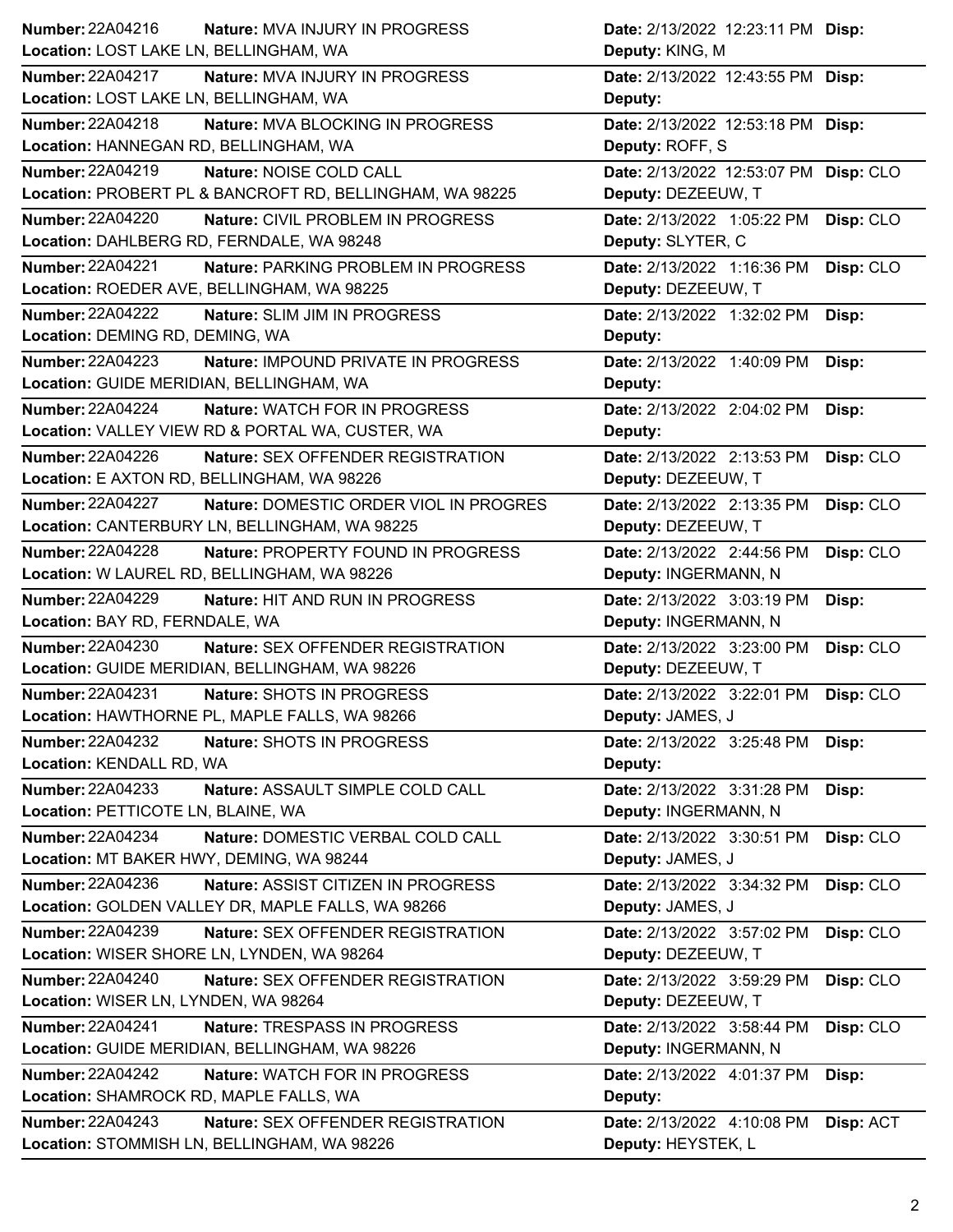| Number: 22A04216<br>Nature: MVA INJURY IN PROGRESS                  | Date: 2/13/2022 12:23:11 PM Disp:       |
|---------------------------------------------------------------------|-----------------------------------------|
| Location: LOST LAKE LN, BELLINGHAM, WA                              | Deputy: KING, M                         |
| <b>Number: 22A04217</b><br>Nature: MVA INJURY IN PROGRESS           | Date: 2/13/2022 12:43:55 PM Disp:       |
| Location: LOST LAKE LN, BELLINGHAM, WA                              | Deputy:                                 |
| <b>Number: 22A04218</b><br>Nature: MVA BLOCKING IN PROGRESS         | Date: 2/13/2022 12:53:18 PM Disp:       |
| Location: HANNEGAN RD, BELLINGHAM, WA                               | Deputy: ROFF, S                         |
| <b>Number: 22A04219</b><br>Nature: NOISE COLD CALL                  | Date: 2/13/2022 12:53:07 PM Disp: CLO   |
| Location: PROBERT PL & BANCROFT RD, BELLINGHAM, WA 98225            | Deputy: DEZEEUW, T                      |
| <b>Number: 22A04220</b><br>Nature: CIVIL PROBLEM IN PROGRESS        | Date: 2/13/2022 1:05:22 PM<br>Disp: CLO |
| Location: DAHLBERG RD, FERNDALE, WA 98248                           | Deputy: SLYTER, C                       |
| <b>Number: 22A04221</b><br>Nature: PARKING PROBLEM IN PROGRESS      | Date: 2/13/2022 1:16:36 PM<br>Disp: CLO |
| Location: ROEDER AVE, BELLINGHAM, WA 98225                          | Deputy: DEZEEUW, T                      |
| <b>Number: 22A04222</b><br>Nature: SLIM JIM IN PROGRESS             | Date: 2/13/2022 1:32:02 PM<br>Disp:     |
| Location: DEMING RD, DEMING, WA                                     | Deputy:                                 |
| <b>Number: 22A04223</b><br>Nature: IMPOUND PRIVATE IN PROGRESS      | Date: 2/13/2022 1:40:09 PM<br>Disp:     |
| Location: GUIDE MERIDIAN, BELLINGHAM, WA                            | Deputy:                                 |
| <b>Number: 22A04224</b><br><b>Nature: WATCH FOR IN PROGRESS</b>     | Date: 2/13/2022 2:04:02 PM<br>Disp:     |
| Location: VALLEY VIEW RD & PORTAL WA, CUSTER, WA                    | Deputy:                                 |
| <b>Number: 22A04226</b><br><b>Nature: SEX OFFENDER REGISTRATION</b> | Disp: CLO<br>Date: 2/13/2022 2:13:53 PM |
| Location: E AXTON RD, BELLINGHAM, WA 98226                          | Deputy: DEZEEUW, T                      |
| <b>Number: 22A04227</b><br>Nature: DOMESTIC ORDER VIOL IN PROGRES   | Date: 2/13/2022 2:13:35 PM<br>Disp: CLO |
| Location: CANTERBURY LN, BELLINGHAM, WA 98225                       | Deputy: DEZEEUW, T                      |
| Number: 22A04228<br>Nature: PROPERTY FOUND IN PROGRESS              | Date: 2/13/2022 2:44:56 PM<br>Disp: CLO |
| Location: W LAUREL RD, BELLINGHAM, WA 98226                         | Deputy: INGERMANN, N                    |
|                                                                     |                                         |
| Number: 22A04229<br>Nature: HIT AND RUN IN PROGRESS                 | Date: 2/13/2022 3:03:19 PM<br>Disp:     |
| Location: BAY RD, FERNDALE, WA                                      | Deputy: INGERMANN, N                    |
| <b>Number: 22A04230</b><br>Nature: SEX OFFENDER REGISTRATION        | Date: 2/13/2022 3:23:00 PM<br>Disp: CLO |
| Location: GUIDE MERIDIAN, BELLINGHAM, WA 98226                      | Deputy: DEZEEUW, T                      |
| <b>Number: 22A04231</b><br>Nature: SHOTS IN PROGRESS                | Date: 2/13/2022 3:22:01 PM<br>Disp: CLO |
| Location: HAWTHORNE PL, MAPLE FALLS, WA 98266                       | Deputy: JAMES, J                        |
| <b>Number: 22A04232</b><br>Nature: SHOTS IN PROGRESS                | Date: 2/13/2022 3:25:48 PM<br>Disp:     |
| Location: KENDALL RD, WA                                            | Deputy:                                 |
| <b>Number: 22A04233</b><br>Nature: ASSAULT SIMPLE COLD CALL         | Date: 2/13/2022 3:31:28 PM<br>Disp:     |
| Location: PETTICOTE LN, BLAINE, WA                                  | Deputy: INGERMANN, N                    |
| Number: 22A04234<br>Nature: DOMESTIC VERBAL COLD CALL               | Date: 2/13/2022 3:30:51 PM<br>Disp: CLO |
| Location: MT BAKER HWY, DEMING, WA 98244                            | Deputy: JAMES, J                        |
| Number: 22A04236<br>Nature: ASSIST CITIZEN IN PROGRESS              | Date: 2/13/2022 3:34:32 PM<br>Disp: CLO |
| Location: GOLDEN VALLEY DR, MAPLE FALLS, WA 98266                   | Deputy: JAMES, J                        |
| Number: 22A04239<br>Nature: SEX OFFENDER REGISTRATION               | Date: 2/13/2022 3:57:02 PM<br>Disp: CLO |
| Location: WISER SHORE LN, LYNDEN, WA 98264                          | Deputy: DEZEEUW, T                      |
| <b>Number: 22A04240</b><br>Nature: SEX OFFENDER REGISTRATION        | Date: 2/13/2022 3:59:29 PM<br>Disp: CLO |
| Location: WISER LN, LYNDEN, WA 98264                                | Deputy: DEZEEUW, T                      |
| Number: 22A04241<br>Nature: TRESPASS IN PROGRESS                    | Date: 2/13/2022 3:58:44 PM<br>Disp: CLO |
| Location: GUIDE MERIDIAN, BELLINGHAM, WA 98226                      | Deputy: INGERMANN, N                    |
| <b>Number: 22A04242</b><br>Nature: WATCH FOR IN PROGRESS            | Date: 2/13/2022 4:01:37 PM<br>Disp:     |
| Location: SHAMROCK RD, MAPLE FALLS, WA                              | Deputy:                                 |
| Number: 22A04243<br>Nature: SEX OFFENDER REGISTRATION               | Date: 2/13/2022 4:10:08 PM<br>Disp: ACT |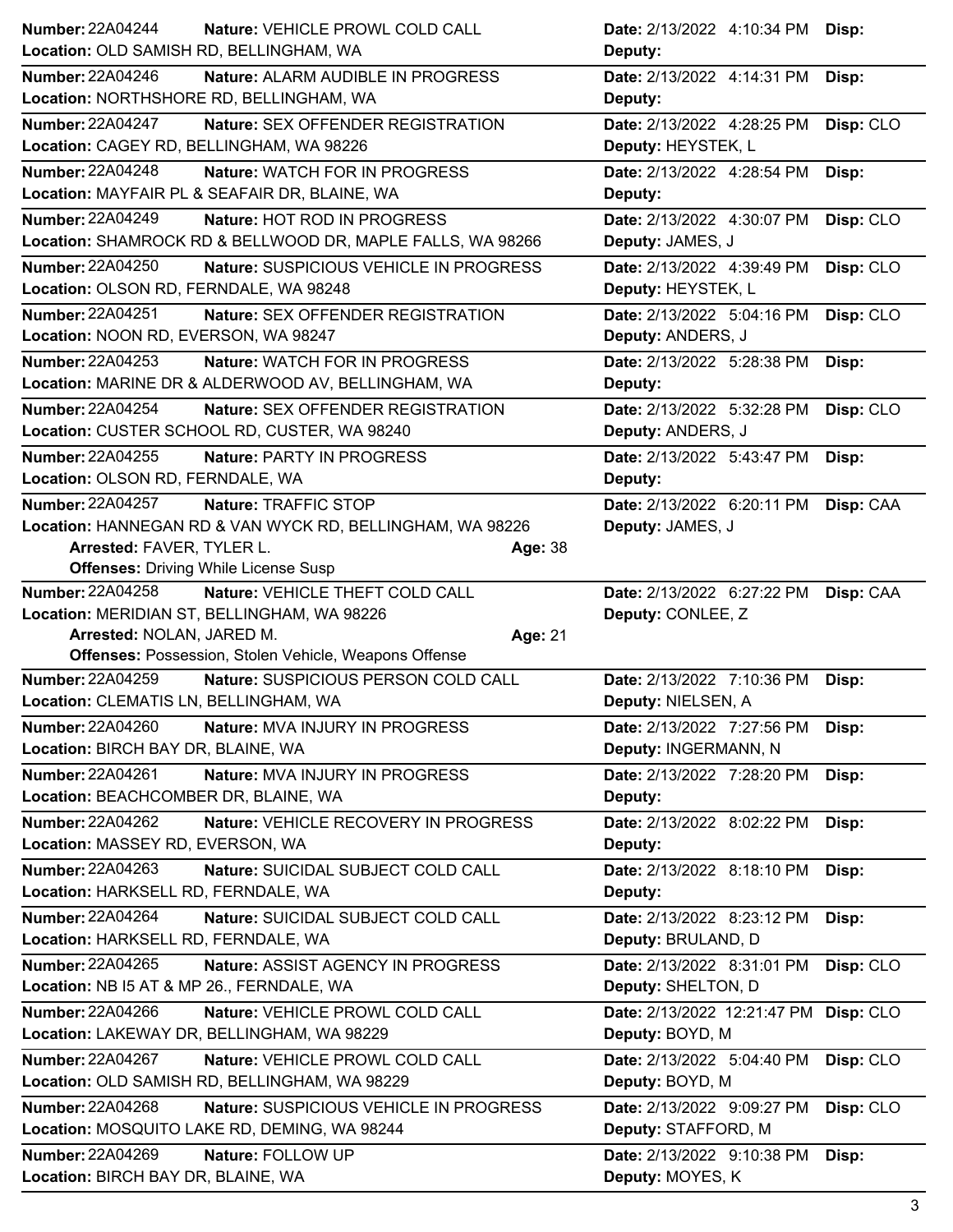| <b>Number: 22A04244</b><br>Nature: VEHICLE PROWL COLD CALL<br>Location: OLD SAMISH RD, BELLINGHAM, WA | Date: 2/13/2022 4:10:34 PM<br>Deputy:                    | Disp:     |
|-------------------------------------------------------------------------------------------------------|----------------------------------------------------------|-----------|
| <b>Number: 22A04246</b>                                                                               |                                                          |           |
| Nature: ALARM AUDIBLE IN PROGRESS<br>Location: NORTHSHORE RD, BELLINGHAM, WA                          | Date: 2/13/2022 4:14:31 PM<br>Deputy:                    | Disp:     |
| Number: 22A04247<br>Nature: SEX OFFENDER REGISTRATION                                                 | Date: 2/13/2022 4:28:25 PM                               | Disp: CLO |
| Location: CAGEY RD, BELLINGHAM, WA 98226                                                              | Deputy: HEYSTEK, L                                       |           |
| <b>Number: 22A04248</b><br><b>Nature: WATCH FOR IN PROGRESS</b>                                       | Date: 2/13/2022 4:28:54 PM                               | Disp:     |
| Location: MAYFAIR PL & SEAFAIR DR, BLAINE, WA                                                         | Deputy:                                                  |           |
| <b>Number: 22A04249</b><br>Nature: HOT ROD IN PROGRESS                                                | Date: 2/13/2022 4:30:07 PM                               | Disp: CLO |
| Location: SHAMROCK RD & BELLWOOD DR, MAPLE FALLS, WA 98266                                            | Deputy: JAMES, J                                         |           |
| <b>Number: 22A04250</b><br>Nature: SUSPICIOUS VEHICLE IN PROGRESS                                     | Date: 2/13/2022 4:39:49 PM                               | Disp: CLO |
| Location: OLSON RD, FERNDALE, WA 98248                                                                | Deputy: HEYSTEK, L                                       |           |
| Number: 22A04251<br><b>Nature: SEX OFFENDER REGISTRATION</b>                                          | Date: 2/13/2022 5:04:16 PM                               | Disp: CLO |
| Location: NOON RD, EVERSON, WA 98247                                                                  | Deputy: ANDERS, J                                        |           |
|                                                                                                       |                                                          |           |
| Number: 22A04253<br>Nature: WATCH FOR IN PROGRESS                                                     | Date: 2/13/2022 5:28:38 PM                               | Disp:     |
| Location: MARINE DR & ALDERWOOD AV, BELLINGHAM, WA                                                    | Deputy:                                                  |           |
| <b>Number: 22A04254</b><br>Nature: SEX OFFENDER REGISTRATION                                          | Date: 2/13/2022 5:32:28 PM                               | Disp: CLO |
| Location: CUSTER SCHOOL RD, CUSTER, WA 98240                                                          | Deputy: ANDERS, J                                        |           |
| Number: 22A04255<br><b>Nature: PARTY IN PROGRESS</b>                                                  | Date: 2/13/2022 5:43:47 PM                               | Disp:     |
| Location: OLSON RD, FERNDALE, WA                                                                      | Deputy:                                                  |           |
| <b>Number: 22A04257</b><br>Nature: TRAFFIC STOP                                                       | Date: 2/13/2022 6:20:11 PM                               | Disp: CAA |
| Location: HANNEGAN RD & VAN WYCK RD, BELLINGHAM, WA 98226                                             |                                                          |           |
|                                                                                                       | Deputy: JAMES, J                                         |           |
| Arrested: FAVER, TYLER L.<br>Age: 38                                                                  |                                                          |           |
| <b>Offenses: Driving While License Susp</b>                                                           |                                                          |           |
| <b>Number: 22A04258</b><br>Nature: VEHICLE THEFT COLD CALL                                            | Date: 2/13/2022 6:27:22 PM Disp: CAA                     |           |
| Location: MERIDIAN ST, BELLINGHAM, WA 98226                                                           |                                                          |           |
|                                                                                                       | Deputy: CONLEE, Z                                        |           |
| Arrested: NOLAN, JARED M.<br>Age: 21                                                                  |                                                          |           |
| <b>Offenses: Possession, Stolen Vehicle, Weapons Offense</b>                                          |                                                          |           |
| <b>Number: 22A04259</b><br>Nature: SUSPICIOUS PERSON COLD CALL                                        | Date: 2/13/2022 7:10:36 PM                               | Disp:     |
| Location: CLEMATIS LN, BELLINGHAM, WA                                                                 | Deputy: NIELSEN, A                                       |           |
| Number: 22A04260<br>Nature: MVA INJURY IN PROGRESS                                                    | Date: 2/13/2022 7:27:56 PM                               | Disp:     |
| Location: BIRCH BAY DR, BLAINE, WA                                                                    | Deputy: INGERMANN, N                                     |           |
|                                                                                                       |                                                          |           |
| Number: 22A04261<br>Nature: MVA INJURY IN PROGRESS                                                    | Date: 2/13/2022 7:28:20 PM                               | Disp:     |
| Location: BEACHCOMBER DR, BLAINE, WA                                                                  | Deputy:                                                  |           |
| Number: 22A04262<br>Nature: VEHICLE RECOVERY IN PROGRESS<br>Location: MASSEY RD, EVERSON, WA          | Date: 2/13/2022 8:02:22 PM<br>Deputy:                    | Disp:     |
|                                                                                                       |                                                          |           |
| <b>Number: 22A04263</b><br>Nature: SUICIDAL SUBJECT COLD CALL<br>Location: HARKSELL RD, FERNDALE, WA  | Date: 2/13/2022 8:18:10 PM<br>Deputy:                    | Disp:     |
| <b>Number: 22A04264</b><br>Nature: SUICIDAL SUBJECT COLD CALL                                         | Date: 2/13/2022 8:23:12 PM                               | Disp:     |
| Location: HARKSELL RD, FERNDALE, WA                                                                   | Deputy: BRULAND, D                                       |           |
| <b>Number: 22A04265</b><br>Nature: ASSIST AGENCY IN PROGRESS                                          | Date: 2/13/2022 8:31:01 PM                               | Disp: CLO |
| Location: NB I5 AT & MP 26., FERNDALE, WA                                                             | Deputy: SHELTON, D                                       |           |
| <b>Number: 22A04266</b><br>Nature: VEHICLE PROWL COLD CALL                                            |                                                          |           |
| Location: LAKEWAY DR, BELLINGHAM, WA 98229                                                            | Date: 2/13/2022 12:21:47 PM Disp: CLO<br>Deputy: BOYD, M |           |
|                                                                                                       |                                                          |           |
| Number: 22A04267<br>Nature: VEHICLE PROWL COLD CALL<br>Location: OLD SAMISH RD, BELLINGHAM, WA 98229  | Date: 2/13/2022 5:04:40 PM<br>Deputy: BOYD, M            | Disp: CLO |
|                                                                                                       |                                                          |           |
| Number: 22A04268<br>Nature: SUSPICIOUS VEHICLE IN PROGRESS                                            | Date: 2/13/2022 9:09:27 PM                               | Disp: CLO |
| Location: MOSQUITO LAKE RD, DEMING, WA 98244                                                          | Deputy: STAFFORD, M                                      |           |
| Number: 22A04269<br>Nature: FOLLOW UP<br>Location: BIRCH BAY DR, BLAINE, WA                           | Date: 2/13/2022 9:10:38 PM<br>Deputy: MOYES, K           | Disp:     |